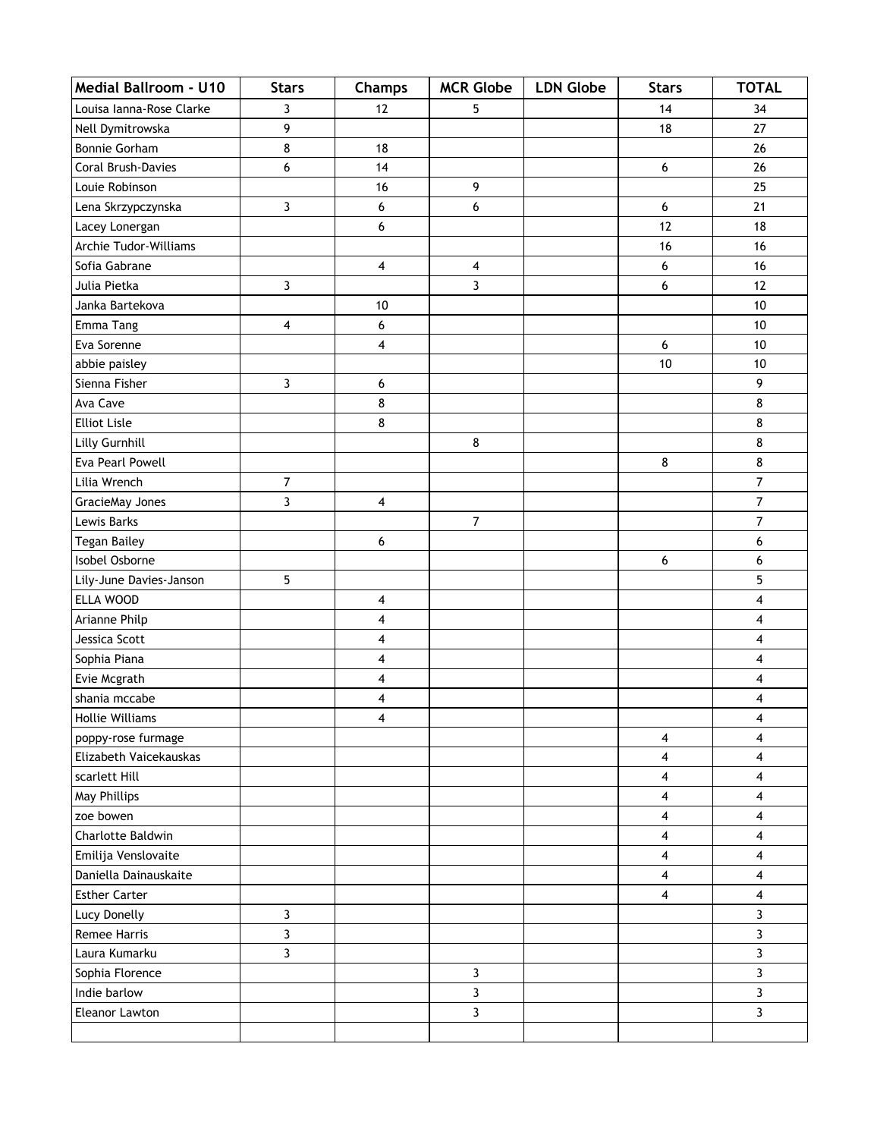| <b>Medial Ballroom - U10</b> | <b>Stars</b>            | Champs                  | <b>MCR Globe</b> | <b>LDN Globe</b> | <b>Stars</b> | <b>TOTAL</b>            |
|------------------------------|-------------------------|-------------------------|------------------|------------------|--------------|-------------------------|
| Louisa Ianna-Rose Clarke     | 3                       | 12                      | 5                |                  | 14           | 34                      |
| Nell Dymitrowska             | 9                       |                         |                  |                  | 18           | 27                      |
| Bonnie Gorham                | 8                       | 18                      |                  |                  |              | 26                      |
| Coral Brush-Davies           | 6                       | 14                      |                  |                  | 6            | 26                      |
| Louie Robinson               |                         | 16                      | 9                |                  |              | 25                      |
| Lena Skrzypczynska           | 3                       | 6                       | 6                |                  | 6            | 21                      |
| Lacey Lonergan               |                         | 6                       |                  |                  | 12           | 18                      |
| Archie Tudor-Williams        |                         |                         |                  |                  | 16           | 16                      |
| Sofia Gabrane                |                         | $\overline{\mathbf{4}}$ | 4                |                  | 6            | 16                      |
| Julia Pietka                 | 3                       |                         | $\overline{3}$   |                  | 6            | 12                      |
| Janka Bartekova              |                         | 10                      |                  |                  |              | 10                      |
| Emma Tang                    | 4                       | 6                       |                  |                  |              | 10                      |
| Eva Sorenne                  |                         | 4                       |                  |                  | 6            | 10                      |
| abbie paisley                |                         |                         |                  |                  | 10           | 10                      |
| Sienna Fisher                | 3                       | 6                       |                  |                  |              | 9                       |
| Ava Cave                     |                         | 8                       |                  |                  |              | 8                       |
| <b>Elliot Lisle</b>          |                         | 8                       |                  |                  |              | 8                       |
| Lilly Gurnhill               |                         |                         | 8                |                  |              | 8                       |
| Eva Pearl Powell             |                         |                         |                  |                  | 8            | 8                       |
| Lilia Wrench                 | $\overline{7}$          |                         |                  |                  |              | $\overline{7}$          |
| GracieMay Jones              | 3                       | 4                       |                  |                  |              | 7                       |
| Lewis Barks                  |                         |                         | $\overline{7}$   |                  |              | $\overline{7}$          |
| <b>Tegan Bailey</b>          |                         | 6                       |                  |                  |              | 6                       |
| Isobel Osborne               |                         |                         |                  |                  | 6            | 6                       |
| Lily-June Davies-Janson      | 5                       |                         |                  |                  |              | 5                       |
| ELLA WOOD                    |                         | 4                       |                  |                  |              | $\overline{\mathbf{4}}$ |
| Arianne Philp                |                         | 4                       |                  |                  |              | $\overline{\mathbf{4}}$ |
| Jessica Scott                |                         | 4                       |                  |                  |              | 4                       |
| Sophia Piana                 |                         | 4                       |                  |                  |              | 4                       |
| Evie Mcgrath                 |                         | 4                       |                  |                  |              | 4                       |
| shania mccabe                |                         | 4                       |                  |                  |              | 4                       |
| <b>Hollie Williams</b>       |                         | $\overline{\mathbf{4}}$ |                  |                  |              | 4                       |
| poppy-rose furmage           |                         |                         |                  |                  | 4            | 4                       |
| Elizabeth Vaicekauskas       |                         |                         |                  |                  | 4            | 4                       |
| scarlett Hill                |                         |                         |                  |                  | 4            | $\overline{4}$          |
| May Phillips                 |                         |                         |                  |                  | 4            | $\overline{4}$          |
| zoe bowen                    |                         |                         |                  |                  | 4            | 4                       |
| Charlotte Baldwin            |                         |                         |                  |                  | 4            | 4                       |
| Emilija Venslovaite          |                         |                         |                  |                  | 4            | 4                       |
| Daniella Dainauskaite        |                         |                         |                  |                  | 4            | 4                       |
| <b>Esther Carter</b>         |                         |                         |                  |                  | 4            | 4                       |
| Lucy Donelly                 | 3                       |                         |                  |                  |              | $\overline{3}$          |
| Remee Harris                 | $\overline{\mathbf{3}}$ |                         |                  |                  |              | 3                       |
| Laura Kumarku                | 3                       |                         |                  |                  |              | 3                       |
| Sophia Florence              |                         |                         | 3                |                  |              | 3                       |
| Indie barlow                 |                         |                         | 3                |                  |              | 3                       |
| Eleanor Lawton               |                         |                         | $\mathbf{3}$     |                  |              | $\mathbf{3}$            |
|                              |                         |                         |                  |                  |              |                         |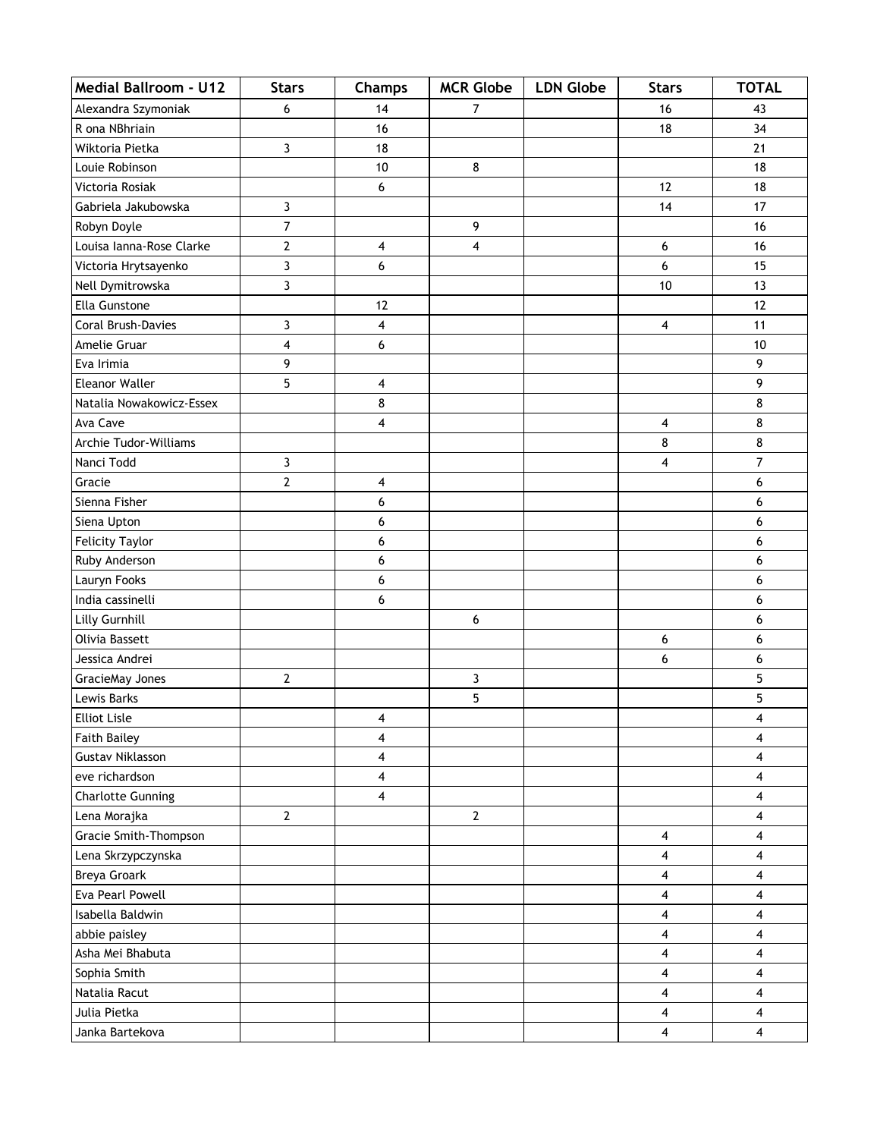| <b>Medial Ballroom - U12</b> | <b>Stars</b>   | <b>Champs</b>           | <b>MCR Globe</b> | <b>LDN Globe</b> | <b>Stars</b> | <b>TOTAL</b>            |
|------------------------------|----------------|-------------------------|------------------|------------------|--------------|-------------------------|
| Alexandra Szymoniak          | 6              | 14                      | $\overline{7}$   |                  | 16           | 43                      |
| R ona NBhriain               |                | 16                      |                  |                  | 18           | 34                      |
| Wiktoria Pietka              | 3              | 18                      |                  |                  |              | 21                      |
| Louie Robinson               |                | 10                      | 8                |                  |              | 18                      |
| Victoria Rosiak              |                | 6                       |                  |                  | 12           | 18                      |
| Gabriela Jakubowska          | 3              |                         |                  |                  | 14           | 17                      |
| Robyn Doyle                  | $\overline{7}$ |                         | 9                |                  |              | 16                      |
| Louisa Ianna-Rose Clarke     | 2              | 4                       | 4                |                  | 6            | 16                      |
| Victoria Hrytsayenko         | 3              | 6                       |                  |                  | 6            | 15                      |
| Nell Dymitrowska             | 3              |                         |                  |                  | 10           | 13                      |
| Ella Gunstone                |                | 12                      |                  |                  |              | 12                      |
| Coral Brush-Davies           | 3              | 4                       |                  |                  | 4            | 11                      |
| Amelie Gruar                 | 4              | 6                       |                  |                  |              | 10                      |
| Eva Irimia                   | 9              |                         |                  |                  |              | 9                       |
| Eleanor Waller               | 5              | 4                       |                  |                  |              | 9                       |
| Natalia Nowakowicz-Essex     |                | 8                       |                  |                  |              | 8                       |
| Ava Cave                     |                | 4                       |                  |                  | 4            | 8                       |
| Archie Tudor-Williams        |                |                         |                  |                  | 8            | 8                       |
| Nanci Todd                   | 3              |                         |                  |                  | 4            | $\overline{7}$          |
| Gracie                       | $\overline{2}$ | $\overline{\mathbf{4}}$ |                  |                  |              | 6                       |
| Sienna Fisher                |                | 6                       |                  |                  |              | 6                       |
| Siena Upton                  |                | 6                       |                  |                  |              | 6                       |
| <b>Felicity Taylor</b>       |                | 6                       |                  |                  |              | 6                       |
| Ruby Anderson                |                | 6                       |                  |                  |              | 6                       |
| Lauryn Fooks                 |                | 6                       |                  |                  |              | 6                       |
| India cassinelli             |                | 6                       |                  |                  |              | 6                       |
| Lilly Gurnhill               |                |                         | 6                |                  |              | 6                       |
| Olivia Bassett               |                |                         |                  |                  | 6            | 6                       |
| Jessica Andrei               |                |                         |                  |                  | 6            | 6                       |
| GracieMay Jones              | 2              |                         | 3                |                  |              | 5                       |
| Lewis Barks                  |                |                         | 5                |                  |              | 5                       |
| <b>Elliot Lisle</b>          |                | 4                       |                  |                  |              | 4                       |
| <b>Faith Bailey</b>          |                | 4                       |                  |                  |              | 4                       |
| <b>Gustav Niklasson</b>      |                | $\overline{\mathbf{4}}$ |                  |                  |              | 4                       |
| eve richardson               |                | $\overline{\mathbf{4}}$ |                  |                  |              | $\overline{4}$          |
| <b>Charlotte Gunning</b>     |                | $\overline{\mathbf{4}}$ |                  |                  |              | 4                       |
| Lena Morajka                 | $\overline{2}$ |                         | $\overline{2}$   |                  |              | 4                       |
| Gracie Smith-Thompson        |                |                         |                  |                  | 4            | 4                       |
| Lena Skrzypczynska           |                |                         |                  |                  | 4            | 4                       |
| <b>Breya Groark</b>          |                |                         |                  |                  | 4            | $\overline{4}$          |
| Eva Pearl Powell             |                |                         |                  |                  | 4            | 4                       |
| Isabella Baldwin             |                |                         |                  |                  | 4            | 4                       |
| abbie paisley                |                |                         |                  |                  | 4            | $\overline{\mathbf{4}}$ |
| Asha Mei Bhabuta             |                |                         |                  |                  | 4            | $\overline{4}$          |
| Sophia Smith                 |                |                         |                  |                  | 4            | 4                       |
| Natalia Racut                |                |                         |                  |                  | 4            | 4                       |
| Julia Pietka                 |                |                         |                  |                  | 4            | 4                       |
| Janka Bartekova              |                |                         |                  |                  | 4            | $\overline{\mathbf{4}}$ |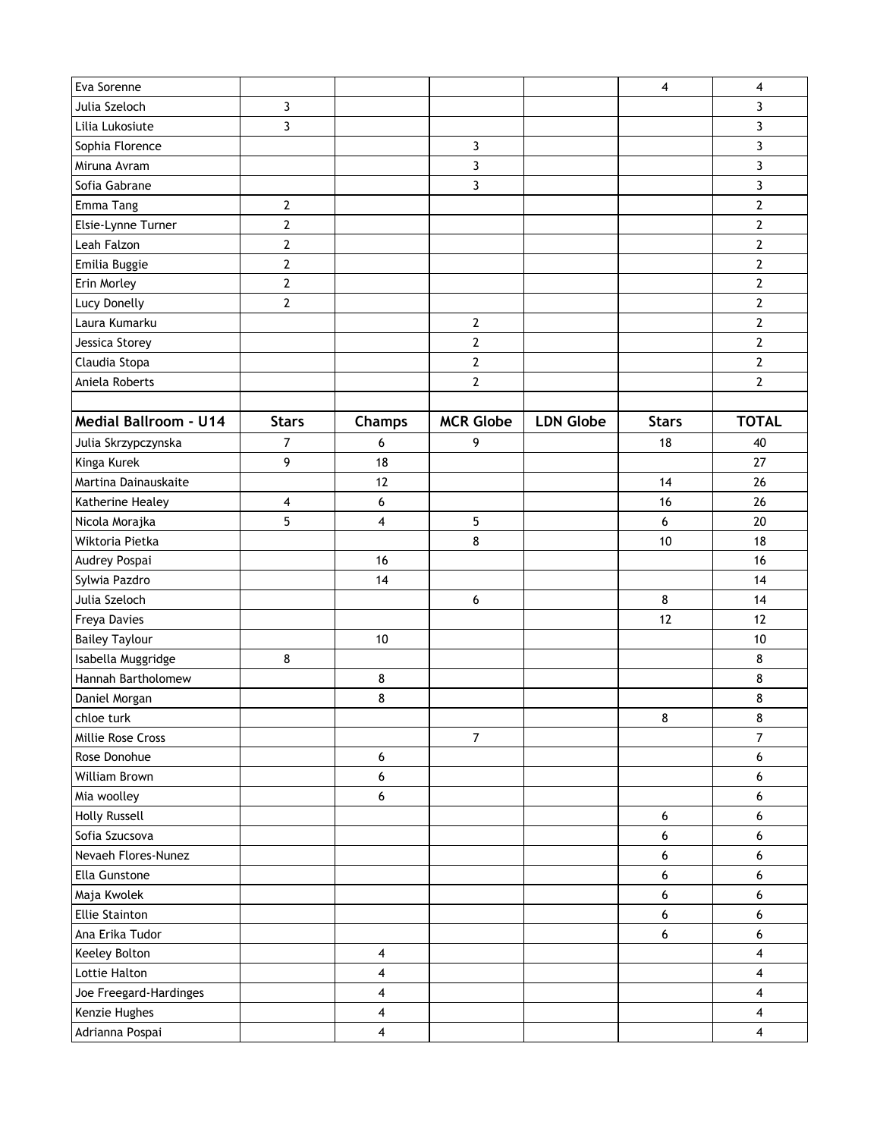| Eva Sorenne                  |                |                         |                  |                  | 4            | 4                       |
|------------------------------|----------------|-------------------------|------------------|------------------|--------------|-------------------------|
| Julia Szeloch                | $\mathbf{3}$   |                         |                  |                  |              | 3                       |
| Lilia Lukosiute              | 3              |                         |                  |                  |              | 3                       |
| Sophia Florence              |                |                         | 3                |                  |              | 3                       |
| Miruna Avram                 |                |                         | 3                |                  |              | 3                       |
| Sofia Gabrane                |                |                         | 3                |                  |              | 3                       |
| Emma Tang                    | $\mathbf{2}$   |                         |                  |                  |              | $\overline{2}$          |
| Elsie-Lynne Turner           | $\mathbf{2}$   |                         |                  |                  |              | $\overline{2}$          |
| Leah Falzon                  | $\overline{2}$ |                         |                  |                  |              | $\overline{2}$          |
| Emilia Buggie                | $\overline{2}$ |                         |                  |                  |              | $\overline{2}$          |
| Erin Morley                  | $\overline{2}$ |                         |                  |                  |              | $\overline{2}$          |
| Lucy Donelly                 | $\overline{2}$ |                         |                  |                  |              | $\overline{2}$          |
| Laura Kumarku                |                |                         | $\overline{2}$   |                  |              | $\overline{2}$          |
| Jessica Storey               |                |                         | $\overline{2}$   |                  |              | $\overline{2}$          |
| Claudia Stopa                |                |                         | $\overline{2}$   |                  |              | $\overline{2}$          |
| Aniela Roberts               |                |                         | $\overline{2}$   |                  |              | $\overline{2}$          |
|                              |                |                         |                  |                  |              |                         |
| <b>Medial Ballroom - U14</b> | <b>Stars</b>   | Champs                  | <b>MCR Globe</b> | <b>LDN Globe</b> | <b>Stars</b> | <b>TOTAL</b>            |
| Julia Skrzypczynska          | $\overline{7}$ | 6                       | 9                |                  | 18           | 40                      |
| Kinga Kurek                  | 9              | 18                      |                  |                  |              | 27                      |
| Martina Dainauskaite         |                | 12                      |                  |                  | 14           | 26                      |
| Katherine Healey             | 4              | 6                       |                  |                  | 16           | 26                      |
| Nicola Morajka               | 5              | 4                       | 5                |                  | 6            | 20                      |
| Wiktoria Pietka              |                |                         | 8                |                  | 10           | 18                      |
| Audrey Pospai                |                | 16                      |                  |                  |              | 16                      |
| Sylwia Pazdro                |                | 14                      |                  |                  |              | 14                      |
| Julia Szeloch                |                |                         | 6                |                  | 8            | 14                      |
| Freya Davies                 |                |                         |                  |                  | 12           | 12                      |
| <b>Bailey Taylour</b>        |                | 10                      |                  |                  |              | 10                      |
| Isabella Muggridge           | 8              |                         |                  |                  |              | 8                       |
| Hannah Bartholomew           |                | 8                       |                  |                  |              | 8                       |
| Daniel Morgan                |                | 8                       |                  |                  |              | 8                       |
| chloe turk                   |                |                         |                  |                  | 8            | 8                       |
| Millie Rose Cross            |                |                         | $\overline{7}$   |                  |              | $\overline{7}$          |
| Rose Donohue                 |                | 6                       |                  |                  |              | 6                       |
| William Brown                |                | 6                       |                  |                  |              | 6                       |
| Mia woolley                  |                | 6                       |                  |                  |              | 6                       |
| <b>Holly Russell</b>         |                |                         |                  |                  | 6            | 6                       |
| Sofia Szucsova               |                |                         |                  |                  | 6            | 6                       |
| Nevaeh Flores-Nunez          |                |                         |                  |                  | 6            | 6                       |
| Ella Gunstone                |                |                         |                  |                  | 6            | 6                       |
| Maja Kwolek                  |                |                         |                  |                  | 6            | 6                       |
| <b>Ellie Stainton</b>        |                |                         |                  |                  | 6            | 6                       |
| Ana Erika Tudor              |                |                         |                  |                  | 6            | 6                       |
| Keeley Bolton                |                | $\overline{\mathbf{4}}$ |                  |                  |              | 4                       |
| Lottie Halton                |                | $\overline{\mathbf{4}}$ |                  |                  |              | 4                       |
| Joe Freegard-Hardinges       |                | $\overline{\mathbf{4}}$ |                  |                  |              | $\overline{4}$          |
| Kenzie Hughes                |                | 4                       |                  |                  |              | 4                       |
| Adrianna Pospai              |                | $\overline{\mathbf{4}}$ |                  |                  |              | $\overline{\mathbf{4}}$ |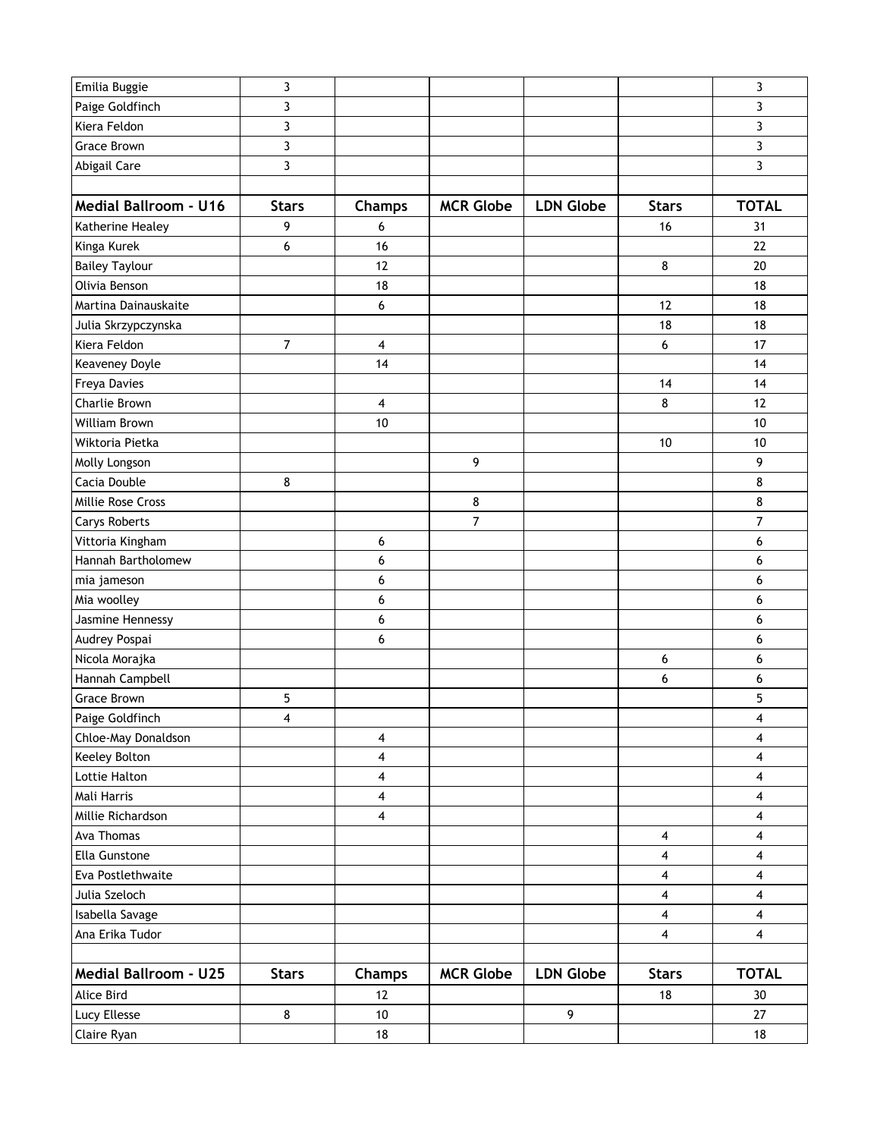| Emilia Buggie                | 3                       |                         |                  |                  |                         | 3                       |
|------------------------------|-------------------------|-------------------------|------------------|------------------|-------------------------|-------------------------|
| Paige Goldfinch              | 3                       |                         |                  |                  |                         | 3                       |
| Kiera Feldon                 | 3                       |                         |                  |                  |                         | 3                       |
| <b>Grace Brown</b>           | $\overline{3}$          |                         |                  |                  |                         | 3                       |
| Abigail Care                 | 3                       |                         |                  |                  |                         | 3                       |
|                              |                         |                         |                  |                  |                         |                         |
| <b>Medial Ballroom - U16</b> | <b>Stars</b>            | Champs                  | <b>MCR Globe</b> | <b>LDN Globe</b> | <b>Stars</b>            | <b>TOTAL</b>            |
| Katherine Healey             | 9                       | 6                       |                  |                  | 16                      | 31                      |
| Kinga Kurek                  | 6                       | 16                      |                  |                  |                         | 22                      |
| <b>Bailey Taylour</b>        |                         | 12                      |                  |                  | 8                       | 20                      |
| Olivia Benson                |                         | 18                      |                  |                  |                         | 18                      |
| Martina Dainauskaite         |                         | 6                       |                  |                  | 12                      | 18                      |
| Julia Skrzypczynska          |                         |                         |                  |                  | 18                      | 18                      |
| Kiera Feldon                 | $\overline{7}$          | $\overline{\mathbf{4}}$ |                  |                  | 6                       | 17                      |
| Keaveney Doyle               |                         | 14                      |                  |                  |                         | 14                      |
| Freya Davies                 |                         |                         |                  |                  | 14                      | 14                      |
| Charlie Brown                |                         | $\overline{\mathbf{4}}$ |                  |                  | 8                       | 12                      |
| William Brown                |                         | 10                      |                  |                  |                         | 10                      |
| Wiktoria Pietka              |                         |                         |                  |                  | 10                      | 10                      |
| Molly Longson                |                         |                         | 9                |                  |                         | 9                       |
| Cacia Double                 | 8                       |                         |                  |                  |                         | 8                       |
| Millie Rose Cross            |                         |                         | $\bf 8$          |                  |                         | 8                       |
| <b>Carys Roberts</b>         |                         |                         | $\overline{7}$   |                  |                         | $\overline{7}$          |
| Vittoria Kingham             |                         | 6                       |                  |                  |                         | 6                       |
| Hannah Bartholomew           |                         | 6                       |                  |                  |                         | 6                       |
| mia jameson                  |                         | 6                       |                  |                  |                         | 6                       |
| Mia woolley                  |                         | 6                       |                  |                  |                         | 6                       |
| Jasmine Hennessy             |                         | 6                       |                  |                  |                         | 6                       |
| Audrey Pospai                |                         | 6                       |                  |                  |                         | 6                       |
| Nicola Morajka               |                         |                         |                  |                  | 6                       | 6                       |
| Hannah Campbell              |                         |                         |                  |                  | 6                       | 6                       |
| <b>Grace Brown</b>           | 5                       |                         |                  |                  |                         | 5                       |
| Paige Goldfinch              | $\overline{\mathbf{4}}$ |                         |                  |                  |                         | 4                       |
| Chloe-May Donaldson          |                         | 4                       |                  |                  |                         | 4                       |
| Keeley Bolton                |                         | 4                       |                  |                  |                         | 4                       |
| Lottie Halton                |                         | 4                       |                  |                  |                         | 4                       |
| Mali Harris                  |                         | 4                       |                  |                  |                         | 4                       |
| Millie Richardson            |                         | 4                       |                  |                  |                         | 4                       |
| Ava Thomas                   |                         |                         |                  |                  | 4                       | 4                       |
| Ella Gunstone                |                         |                         |                  |                  | 4                       | 4                       |
| Eva Postlethwaite            |                         |                         |                  |                  | 4                       | 4                       |
| Julia Szeloch                |                         |                         |                  |                  | $\overline{\mathbf{4}}$ | $\overline{\mathbf{4}}$ |
| Isabella Savage              |                         |                         |                  |                  | $\overline{\mathbf{4}}$ | $\overline{\mathbf{4}}$ |
| Ana Erika Tudor              |                         |                         |                  |                  | 4                       | 4                       |
|                              |                         |                         |                  |                  |                         |                         |
| <b>Medial Ballroom - U25</b> | <b>Stars</b>            | Champs                  | <b>MCR Globe</b> | <b>LDN Globe</b> | <b>Stars</b>            | <b>TOTAL</b>            |
| Alice Bird                   |                         | 12                      |                  |                  | 18                      | 30                      |
| Lucy Ellesse                 | 8                       | $10$                    |                  | 9                |                         | 27                      |
| Claire Ryan                  |                         | $18\,$                  |                  |                  |                         | $18\,$                  |